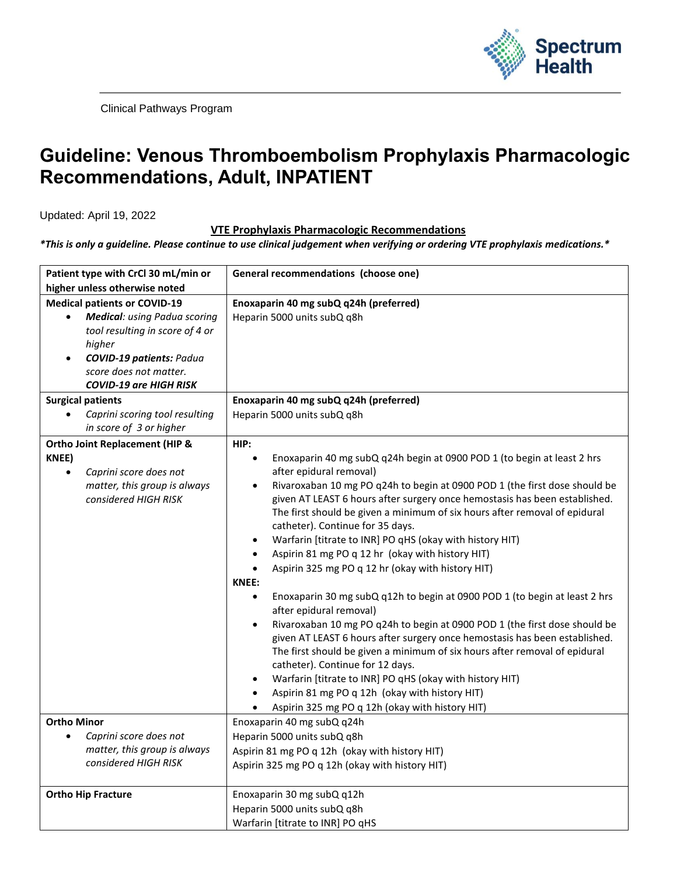

Clinical Pathways Program

## **Guideline: Venous Thromboembolism Prophylaxis Pharmacologic Recommendations, Adult, INPATIENT**

Updated: April 19, 2022

## **VTE Prophylaxis Pharmacologic Recommendations**

*\*This is only a guideline. Please continue to use clinical judgement when verifying or ordering VTE prophylaxis medications.\**

| Patient type with CrCl 30 mL/min or<br>higher unless otherwise noted                                                                                                                                     | General recommendations (choose one)                                                                                                                                                                                                                                                                                                                                                                                                                                                                                                                                                                                                                                                                                                                                                                                                                                                                                                                                                                                                                                                                                                                                                                                                                            |
|----------------------------------------------------------------------------------------------------------------------------------------------------------------------------------------------------------|-----------------------------------------------------------------------------------------------------------------------------------------------------------------------------------------------------------------------------------------------------------------------------------------------------------------------------------------------------------------------------------------------------------------------------------------------------------------------------------------------------------------------------------------------------------------------------------------------------------------------------------------------------------------------------------------------------------------------------------------------------------------------------------------------------------------------------------------------------------------------------------------------------------------------------------------------------------------------------------------------------------------------------------------------------------------------------------------------------------------------------------------------------------------------------------------------------------------------------------------------------------------|
| <b>Medical patients or COVID-19</b>                                                                                                                                                                      | Enoxaparin 40 mg subQ q24h (preferred)                                                                                                                                                                                                                                                                                                                                                                                                                                                                                                                                                                                                                                                                                                                                                                                                                                                                                                                                                                                                                                                                                                                                                                                                                          |
| <b>Medical:</b> using Padua scoring<br>$\bullet$<br>tool resulting in score of 4 or<br>higher<br><b>COVID-19 patients: Padua</b><br>$\bullet$<br>score does not matter.<br><b>COVID-19 are HIGH RISK</b> | Heparin 5000 units subQ q8h                                                                                                                                                                                                                                                                                                                                                                                                                                                                                                                                                                                                                                                                                                                                                                                                                                                                                                                                                                                                                                                                                                                                                                                                                                     |
| <b>Surgical patients</b>                                                                                                                                                                                 | Enoxaparin 40 mg subQ q24h (preferred)                                                                                                                                                                                                                                                                                                                                                                                                                                                                                                                                                                                                                                                                                                                                                                                                                                                                                                                                                                                                                                                                                                                                                                                                                          |
| Caprini scoring tool resulting<br>$\bullet$<br>in score of 3 or higher                                                                                                                                   | Heparin 5000 units subQ q8h                                                                                                                                                                                                                                                                                                                                                                                                                                                                                                                                                                                                                                                                                                                                                                                                                                                                                                                                                                                                                                                                                                                                                                                                                                     |
| <b>Ortho Joint Replacement (HIP &amp;</b>                                                                                                                                                                | HIP:                                                                                                                                                                                                                                                                                                                                                                                                                                                                                                                                                                                                                                                                                                                                                                                                                                                                                                                                                                                                                                                                                                                                                                                                                                                            |
| KNEE)<br>Caprini score does not<br>$\bullet$<br>matter, this group is always<br>considered HIGH RISK                                                                                                     | Enoxaparin 40 mg subQ q24h begin at 0900 POD 1 (to begin at least 2 hrs<br>$\bullet$<br>after epidural removal)<br>Rivaroxaban 10 mg PO q24h to begin at 0900 POD 1 (the first dose should be<br>$\bullet$<br>given AT LEAST 6 hours after surgery once hemostasis has been established.<br>The first should be given a minimum of six hours after removal of epidural<br>catheter). Continue for 35 days.<br>Warfarin [titrate to INR] PO qHS (okay with history HIT)<br>$\bullet$<br>Aspirin 81 mg PO q 12 hr (okay with history HIT)<br>$\bullet$<br>Aspirin 325 mg PO q 12 hr (okay with history HIT)<br>$\bullet$<br><b>KNEE:</b><br>Enoxaparin 30 mg subQ q12h to begin at 0900 POD 1 (to begin at least 2 hrs<br>$\bullet$<br>after epidural removal)<br>Rivaroxaban 10 mg PO q24h to begin at 0900 POD 1 (the first dose should be<br>$\bullet$<br>given AT LEAST 6 hours after surgery once hemostasis has been established.<br>The first should be given a minimum of six hours after removal of epidural<br>catheter). Continue for 12 days.<br>Warfarin [titrate to INR] PO qHS (okay with history HIT)<br>$\bullet$<br>Aspirin 81 mg PO q 12h (okay with history HIT)<br>$\bullet$<br>Aspirin 325 mg PO q 12h (okay with history HIT)<br>$\bullet$ |
| <b>Ortho Minor</b>                                                                                                                                                                                       | Enoxaparin 40 mg subQ q24h                                                                                                                                                                                                                                                                                                                                                                                                                                                                                                                                                                                                                                                                                                                                                                                                                                                                                                                                                                                                                                                                                                                                                                                                                                      |
| Caprini score does not<br>$\bullet$                                                                                                                                                                      | Heparin 5000 units subQ q8h                                                                                                                                                                                                                                                                                                                                                                                                                                                                                                                                                                                                                                                                                                                                                                                                                                                                                                                                                                                                                                                                                                                                                                                                                                     |
| matter, this group is always                                                                                                                                                                             | Aspirin 81 mg PO q 12h (okay with history HIT)                                                                                                                                                                                                                                                                                                                                                                                                                                                                                                                                                                                                                                                                                                                                                                                                                                                                                                                                                                                                                                                                                                                                                                                                                  |
| considered HIGH RISK                                                                                                                                                                                     | Aspirin 325 mg PO q 12h (okay with history HIT)                                                                                                                                                                                                                                                                                                                                                                                                                                                                                                                                                                                                                                                                                                                                                                                                                                                                                                                                                                                                                                                                                                                                                                                                                 |
| <b>Ortho Hip Fracture</b>                                                                                                                                                                                | Enoxaparin 30 mg subQ q12h                                                                                                                                                                                                                                                                                                                                                                                                                                                                                                                                                                                                                                                                                                                                                                                                                                                                                                                                                                                                                                                                                                                                                                                                                                      |
|                                                                                                                                                                                                          | Heparin 5000 units subQ q8h                                                                                                                                                                                                                                                                                                                                                                                                                                                                                                                                                                                                                                                                                                                                                                                                                                                                                                                                                                                                                                                                                                                                                                                                                                     |
|                                                                                                                                                                                                          | Warfarin [titrate to INR] PO qHS                                                                                                                                                                                                                                                                                                                                                                                                                                                                                                                                                                                                                                                                                                                                                                                                                                                                                                                                                                                                                                                                                                                                                                                                                                |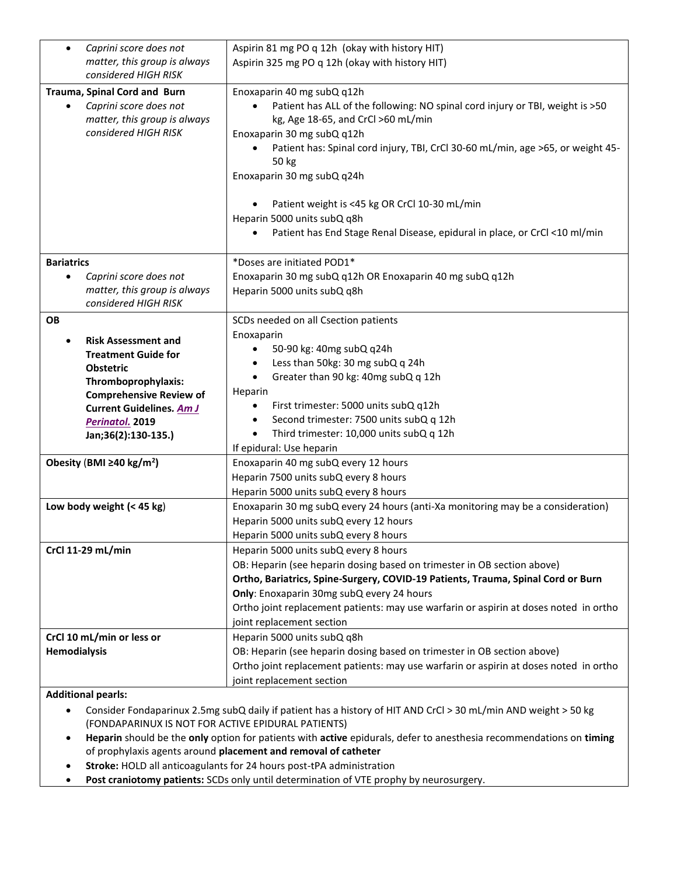| Caprini score does not<br>$\bullet$        | Aspirin 81 mg PO q 12h (okay with history HIT)                                               |
|--------------------------------------------|----------------------------------------------------------------------------------------------|
| matter, this group is always               | Aspirin 325 mg PO q 12h (okay with history HIT)                                              |
| considered HIGH RISK                       |                                                                                              |
| Trauma, Spinal Cord and Burn               | Enoxaparin 40 mg subQ q12h                                                                   |
| Caprini score does not<br>$\bullet$        | Patient has ALL of the following: NO spinal cord injury or TBI, weight is >50                |
| matter, this group is always               | kg, Age 18-65, and CrCl >60 mL/min                                                           |
| considered HIGH RISK                       | Enoxaparin 30 mg subQ q12h                                                                   |
|                                            | Patient has: Spinal cord injury, TBI, CrCl 30-60 mL/min, age >65, or weight 45-<br>$\bullet$ |
|                                            | 50 kg                                                                                        |
|                                            | Enoxaparin 30 mg subQ q24h                                                                   |
|                                            |                                                                                              |
|                                            | Patient weight is <45 kg OR CrCl 10-30 mL/min                                                |
|                                            | Heparin 5000 units subQ q8h                                                                  |
|                                            | Patient has End Stage Renal Disease, epidural in place, or CrCl <10 ml/min                   |
|                                            |                                                                                              |
| <b>Bariatrics</b>                          | *Doses are initiated POD1*                                                                   |
| Caprini score does not<br>$\bullet$        | Enoxaparin 30 mg subQ q12h OR Enoxaparin 40 mg subQ q12h                                     |
| matter, this group is always               | Heparin 5000 units subQ q8h                                                                  |
| considered HIGH RISK                       |                                                                                              |
| OВ                                         | SCDs needed on all Csection patients                                                         |
| <b>Risk Assessment and</b><br>$\bullet$    | Enoxaparin                                                                                   |
| <b>Treatment Guide for</b>                 | 50-90 kg: 40mg subQ q24h                                                                     |
| <b>Obstetric</b>                           | Less than 50kg: 30 mg subQ q 24h<br>$\bullet$                                                |
| Thromboprophylaxis:                        | Greater than 90 kg: 40mg subQ q 12h<br>$\bullet$                                             |
| <b>Comprehensive Review of</b>             | Heparin                                                                                      |
| <b>Current Guidelines. Am J</b>            | First trimester: 5000 units subQ q12h                                                        |
| Perinatol. 2019                            | Second trimester: 7500 units subQ q 12h                                                      |
| Jan;36(2):130-135.)                        | Third trimester: 10,000 units subQ q 12h                                                     |
|                                            | If epidural: Use heparin                                                                     |
| Obesity (BMI $\geq$ 40 kg/m <sup>2</sup> ) | Enoxaparin 40 mg subQ every 12 hours                                                         |
|                                            | Heparin 7500 units subQ every 8 hours                                                        |
|                                            | Heparin 5000 units subQ every 8 hours                                                        |
| Low body weight $(< 45 kg)$                | Enoxaparin 30 mg subQ every 24 hours (anti-Xa monitoring may be a consideration)             |
|                                            | Heparin 5000 units subQ every 12 hours                                                       |
|                                            | Heparin 5000 units subQ every 8 hours                                                        |
| CrCl 11-29 mL/min                          | Heparin 5000 units subQ every 8 hours                                                        |
|                                            | OB: Heparin (see heparin dosing based on trimester in OB section above)                      |
|                                            | Ortho, Bariatrics, Spine-Surgery, COVID-19 Patients, Trauma, Spinal Cord or Burn             |
|                                            | Only: Enoxaparin 30mg subQ every 24 hours                                                    |
|                                            | Ortho joint replacement patients: may use warfarin or aspirin at doses noted in ortho        |
|                                            | joint replacement section                                                                    |
| CrCl 10 mL/min or less or                  | Heparin 5000 units subQ q8h                                                                  |
| <b>Hemodialysis</b>                        | OB: Heparin (see heparin dosing based on trimester in OB section above)                      |
|                                            | Ortho joint replacement patients: may use warfarin or aspirin at doses noted in ortho        |
|                                            | joint replacement section                                                                    |
|                                            |                                                                                              |

**Additional pearls:**

• Consider Fondaparinux 2.5mg subQ daily if patient has a history of HIT AND CrCl > 30 mL/min AND weight > 50 kg (FONDAPARINUX IS NOT FOR ACTIVE EPIDURAL PATIENTS)

• **Heparin** should be the **only** option for patients with **active** epidurals, defer to anesthesia recommendations on **timing** of prophylaxis agents around **placement and removal of catheter**

- **Stroke:** HOLD all anticoagulants for 24 hours post-tPA administration
- **Post craniotomy patients:** SCDs only until determination of VTE prophy by neurosurgery.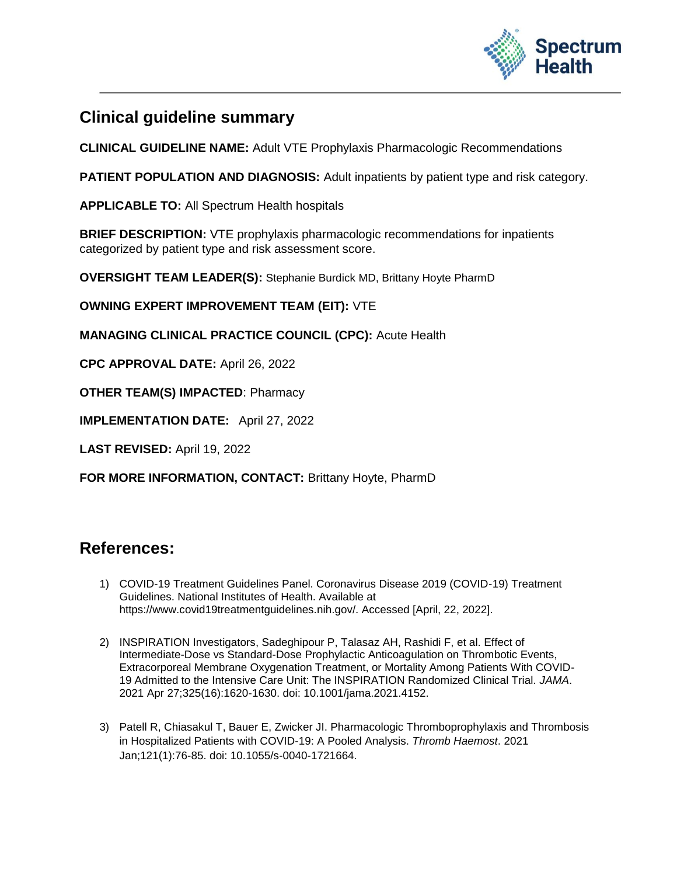

## **Clinical guideline summary**

**CLINICAL GUIDELINE NAME:** Adult VTE Prophylaxis Pharmacologic Recommendations

**PATIENT POPULATION AND DIAGNOSIS:** Adult inpatients by patient type and risk category.

**APPLICABLE TO:** All Spectrum Health hospitals

**BRIEF DESCRIPTION:** VTE prophylaxis pharmacologic recommendations for inpatients categorized by patient type and risk assessment score.

**OVERSIGHT TEAM LEADER(S):** Stephanie Burdick MD, Brittany Hoyte PharmD

**OWNING EXPERT IMPROVEMENT TEAM (EIT):** VTE

**MANAGING CLINICAL PRACTICE COUNCIL (CPC):** Acute Health

**CPC APPROVAL DATE:** April 26, 2022

**OTHER TEAM(S) IMPACTED**: Pharmacy

**IMPLEMENTATION DATE:** April 27, 2022

**LAST REVISED:** April 19, 2022

**FOR MORE INFORMATION, CONTACT:** Brittany Hoyte, PharmD

## **References:**

- 1) COVID-19 Treatment Guidelines Panel. Coronavirus Disease 2019 (COVID-19) Treatment Guidelines. National Institutes of Health. Available at https://www.covid19treatmentguidelines.nih.gov/. Accessed [April, 22, 2022].
- 2) INSPIRATION Investigators, Sadeghipour P, Talasaz AH, Rashidi F, et al. Effect of Intermediate-Dose vs Standard-Dose Prophylactic Anticoagulation on Thrombotic Events, Extracorporeal Membrane Oxygenation Treatment, or Mortality Among Patients With COVID-19 Admitted to the Intensive Care Unit: The INSPIRATION Randomized Clinical Trial. *JAMA*. 2021 Apr 27;325(16):1620-1630. doi: 10.1001/jama.2021.4152.
- 3) Patell R, Chiasakul T, Bauer E, Zwicker JI. Pharmacologic Thromboprophylaxis and Thrombosis in Hospitalized Patients with COVID-19: A Pooled Analysis. *Thromb Haemost*. 2021 Jan;121(1):76-85. doi: 10.1055/s-0040-1721664.